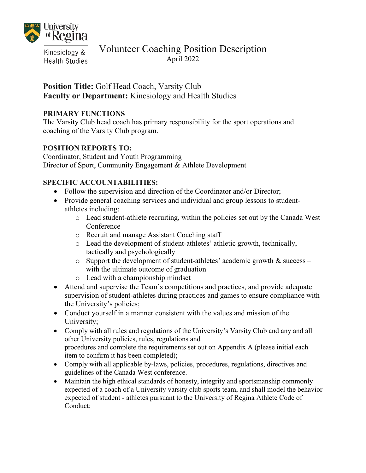

Kinesiology & **Health Studies** 

# Volunteer Coaching Position Description April 2022

## **Position Title:** Golf Head Coach, Varsity Club **Faculty or Department:** Kinesiology and Health Studies

### **PRIMARY FUNCTIONS**

The Varsity Club head coach has primary responsibility for the sport operations and coaching of the Varsity Club program.

### **POSITION REPORTS TO:**

Coordinator, Student and Youth Programming Director of Sport, Community Engagement & Athlete Development

## **SPECIFIC ACCOUNTABILITIES:**

- Follow the supervision and direction of the Coordinator and/or Director;
- Provide general coaching services and individual and group lessons to studentathletes including:
	- o Lead student-athlete recruiting, within the policies set out by the Canada West Conference
	- o Recruit and manage Assistant Coaching staff
	- o Lead the development of student-athletes' athletic growth, technically, tactically and psychologically
	- $\circ$  Support the development of student-athletes' academic growth & success with the ultimate outcome of graduation
	- o Lead with a championship mindset
- Attend and supervise the Team's competitions and practices, and provide adequate supervision of student-athletes during practices and games to ensure compliance with the University's policies;
- Conduct yourself in a manner consistent with the values and mission of the University;
- Comply with all rules and regulations of the University's Varsity Club and any and all other University policies, rules, regulations and procedures and complete the requirements set out on Appendix A (please initial each item to confirm it has been completed);
- Comply with all applicable by-laws, policies, procedures, regulations, directives and guidelines of the Canada West conference.
- Maintain the high ethical standards of honesty, integrity and sportsmanship commonly expected of a coach of a University varsity club sports team, and shall model the behavior expected of student - athletes pursuant to the University of Regina Athlete Code of Conduct;